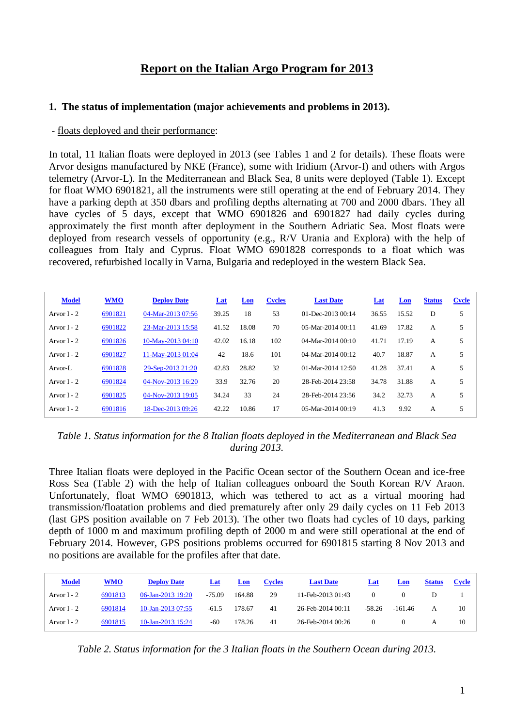# **Report on the Italian Argo Program for 2013**

#### **1. The status of implementation (major achievements and problems in 2013).**

#### - floats deployed and their performance:

In total, 11 Italian floats were deployed in 2013 (see Tables 1 and 2 for details). These floats were Arvor designs manufactured by NKE (France), some with Iridium (Arvor-I) and others with Argos telemetry (Arvor-L). In the Mediterranean and Black Sea, 8 units were deployed (Table 1). Except for float WMO 6901821, all the instruments were still operating at the end of February 2014. They have a parking depth at 350 dbars and profiling depths alternating at 700 and 2000 dbars. They all have cycles of 5 days, except that WMO 6901826 and 6901827 had daily cycles during approximately the first month after deployment in the Southern Adriatic Sea. Most floats were deployed from research vessels of opportunity (e.g., R/V Urania and Explora) with the help of colleagues from Italy and Cyprus. Float WMO 6901828 corresponds to a float which was recovered, refurbished locally in Varna, Bulgaria and redeployed in the western Black Sea.

| <b>Model</b>  | <b>WMO</b> | <b>Deploy Date</b> | <b>Lat</b> | Lon   | <b>Cycles</b> | <b>Last Date</b>       | Lat   | Lon   | <b>Status</b> | <b>Cycle</b> |
|---------------|------------|--------------------|------------|-------|---------------|------------------------|-------|-------|---------------|--------------|
| Arvor $I - 2$ | 6901821    | 04-Mar-2013 07:56  | 39.25      | 18    | 53            | $01$ -Dec-2013 $00:14$ | 36.55 | 15.52 | D             | 5            |
| Arvor $I - 2$ | 6901822    | 23-Mar-2013 15:58  | 41.52      | 18.08 | 70            | $05-Mar-201400:11$     | 41.69 | 17.82 | А             | 5            |
| Arvor $I - 2$ | 6901826    | 10-May-2013 04:10  | 42.02      | 16.18 | 102           | $04-Mar-201400:10$     | 41.71 | 17.19 | A             | 5            |
| Arvor $I - 2$ | 6901827    | 11-May-2013 01:04  | 42         | 18.6  | 101           | $04-Mar-201400:12$     | 40.7  | 18.87 | A             | 5            |
| Arvor-L       | 6901828    | 29-Sep-2013 21:20  | 42.83      | 28.82 | 32            | 01-Mar-2014 12:50      | 41.28 | 37.41 | A             | 5            |
| Arvor $I - 2$ | 6901824    | 04-Nov-2013 16:20  | 33.9       | 32.76 | 20            | 28-Feb-2014 23:58      | 34.78 | 31.88 | A             | 5            |
| Arvor $I - 2$ | 6901825    | 04-Nov-2013 19:05  | 34.24      | 33    | 24            | 28-Feb-2014 23:56      | 34.2  | 32.73 | A             | 5            |
| Arvor $I - 2$ | 6901816    | 18-Dec-2013 09:26  | 42.22      | 10.86 | 17            | $05-Mar-201400:19$     | 41.3  | 9.92  | А             | 5            |

*Table 1. Status information for the 8 Italian floats deployed in the Mediterranean and Black Sea during 2013.*

Three Italian floats were deployed in the Pacific Ocean sector of the Southern Ocean and ice-free Ross Sea (Table 2) with the help of Italian colleagues onboard the South Korean R/V Araon. Unfortunately, float WMO 6901813, which was tethered to act as a virtual mooring had transmission/floatation problems and died prematurely after only 29 daily cycles on 11 Feb 2013 (last GPS position available on 7 Feb 2013). The other two floats had cycles of 10 days, parking depth of 1000 m and maximum profiling depth of 2000 m and were still operational at the end of February 2014. However, GPS positions problems occurred for 6901815 starting 8 Nov 2013 and no positions are available for the profiles after that date.

| <b>Model</b>  | WMO     | <b>Deploy Date</b> | Lat      | Lon    | <b>Cycles</b> | <b>Last Date</b>  | Lat      | Lon       | <b>Status</b> | Cycle |
|---------------|---------|--------------------|----------|--------|---------------|-------------------|----------|-----------|---------------|-------|
| Arvor $I - 2$ | 6901813 | 06-Jan-2013 19:20  | $-75.09$ | 164.88 | 29            | 11-Feb-2013 01:43 |          |           |               |       |
| Arvor $I - 2$ | 6901814 | 10-Jan-2013 07:55  | -61.5    | 178.67 | 41            | 26-Feb-2014 00:11 | $-58.26$ | $-161.46$ | A             | 10    |
| Arvor $I - 2$ | 6901815 | 10-Jan-2013 15:24  | -60      | 178.26 | 41            | 26-Feb-2014 00:26 |          |           |               | 10    |

*Table 2. Status information for the 3 Italian floats in the Southern Ocean during 2013.*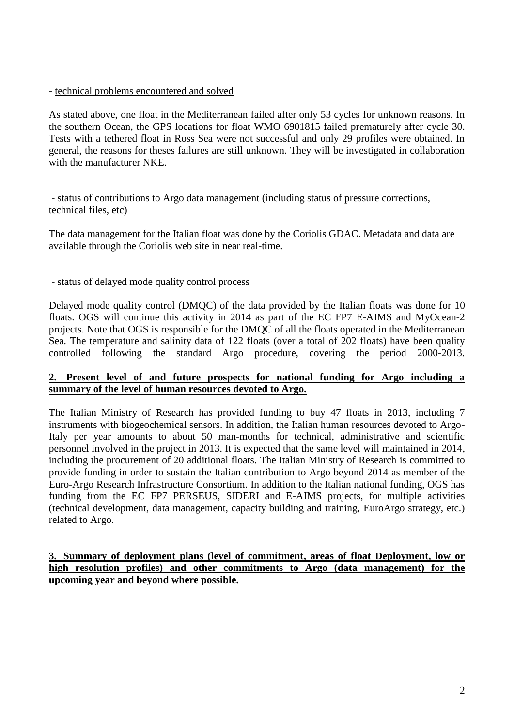- technical problems encountered and solved

As stated above, one float in the Mediterranean failed after only 53 cycles for unknown reasons. In the southern Ocean, the GPS locations for float WMO 6901815 failed prematurely after cycle 30. Tests with a tethered float in Ross Sea were not successful and only 29 profiles were obtained. In general, the reasons for theses failures are still unknown. They will be investigated in collaboration with the manufacturer NKE.

### - status of contributions to Argo data management (including status of pressure corrections, technical files, etc)

The data management for the Italian float was done by the Coriolis GDAC. Metadata and data are available through the Coriolis web site in near real-time.

#### - status of delayed mode quality control process

Delayed mode quality control (DMQC) of the data provided by the Italian floats was done for 10 floats. OGS will continue this activity in 2014 as part of the EC FP7 E-AIMS and MyOcean-2 projects. Note that OGS is responsible for the DMQC of all the floats operated in the Mediterranean Sea. The temperature and salinity data of 122 floats (over a total of 202 floats) have been quality controlled following the standard Argo procedure, covering the period 2000-2013.

#### **2. Present level of and future prospects for national funding for Argo including a summary of the level of human resources devoted to Argo.**

The Italian Ministry of Research has provided funding to buy 47 floats in 2013, including 7 instruments with biogeochemical sensors. In addition, the Italian human resources devoted to Argo-Italy per year amounts to about 50 man-months for technical, administrative and scientific personnel involved in the project in 2013. It is expected that the same level will maintained in 2014, including the procurement of 20 additional floats. The Italian Ministry of Research is committed to provide funding in order to sustain the Italian contribution to Argo beyond 2014 as member of the Euro-Argo Research Infrastructure Consortium. In addition to the Italian national funding, OGS has funding from the EC FP7 PERSEUS, SIDERI and E-AIMS projects, for multiple activities (technical development, data management, capacity building and training, EuroArgo strategy, etc.) related to Argo.

### **3. Summary of deployment plans (level of commitment, areas of float Deployment, low or high resolution profiles) and other commitments to Argo (data management) for the upcoming year and beyond where possible.**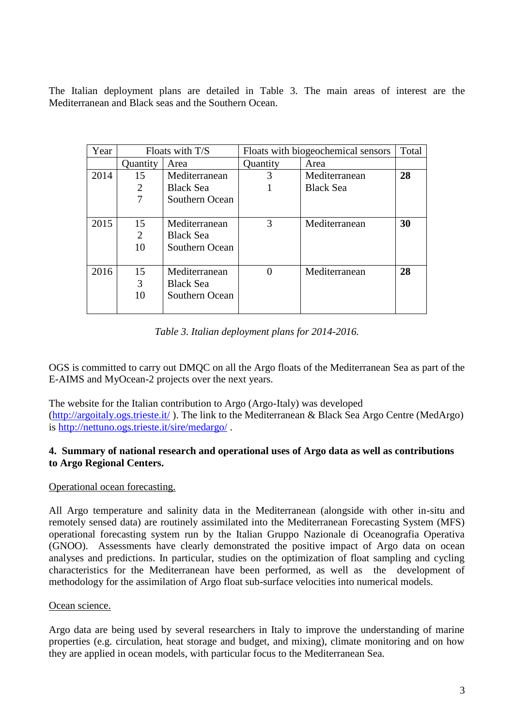The Italian deployment plans are detailed in Table 3. The main areas of interest are the Mediterranean and Black seas and the Southern Ocean.

| Year | Floats with T/S |                  | Floats with biogeochemical sensors | Total            |    |
|------|-----------------|------------------|------------------------------------|------------------|----|
|      | Quantity        | Area             | Quantity                           | Area             |    |
| 2014 | 15              | Mediterranean    | 3                                  | Mediterranean    | 28 |
|      | $\overline{2}$  | <b>Black Sea</b> |                                    | <b>Black Sea</b> |    |
|      |                 | Southern Ocean   |                                    |                  |    |
|      |                 |                  |                                    |                  |    |
| 2015 | 15              | Mediterranean    | 3                                  | Mediterranean    | 30 |
|      | 2               | <b>Black Sea</b> |                                    |                  |    |
|      | 10              | Southern Ocean   |                                    |                  |    |
|      |                 |                  |                                    |                  |    |
| 2016 | 15              | Mediterranean    |                                    | Mediterranean    | 28 |
|      | 3               | <b>Black Sea</b> |                                    |                  |    |
|      | 10              | Southern Ocean   |                                    |                  |    |
|      |                 |                  |                                    |                  |    |

*Table 3. Italian deployment plans for 2014-2016.*

OGS is committed to carry out DMQC on all the Argo floats of the Mediterranean Sea as part of the E-AIMS and MyOcean-2 projects over the next years.

The website for the Italian contribution to Argo (Argo-Italy) was developed [\(http://argoitaly.ogs.trieste.it/](http://argoitaly.ogs.trieste.it/) ). The link to the Mediterranean & Black Sea Argo Centre (MedArgo) is<http://nettuno.ogs.trieste.it/sire/medargo/> .

### **4. Summary of national research and operational uses of Argo data as well as contributions to Argo Regional Centers.**

### Operational ocean forecasting.

All Argo temperature and salinity data in the Mediterranean (alongside with other in-situ and remotely sensed data) are routinely assimilated into the Mediterranean Forecasting System (MFS) operational forecasting system run by the Italian Gruppo Nazionale di Oceanografia Operativa (GNOO). Assessments have clearly demonstrated the positive impact of Argo data on ocean analyses and predictions. In particular, studies on the optimization of float sampling and cycling characteristics for the Mediterranean have been performed, as well as the development of methodology for the assimilation of Argo float sub-surface velocities into numerical models.

### Ocean science.

Argo data are being used by several researchers in Italy to improve the understanding of marine properties (e.g. circulation, heat storage and budget, and mixing), climate monitoring and on how they are applied in ocean models, with particular focus to the Mediterranean Sea.